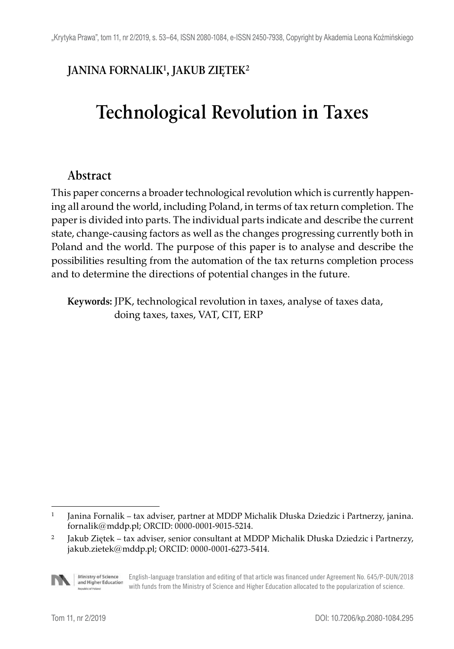# **JANINA FORNALIK1, JAKUB ZIĘTEK2**

# **Technological Revolution in Taxes**

# **Abstract**

This paper concerns a broader technological revolution which is currently happening all around the world, including Poland, in terms of tax return completion. The paper is divided into parts. The individual parts indicate and describe the current state, change-causing factors as well as the changes progressing currently both in Poland and the world. The purpose of this paper is to analyse and describe the possibilities resulting from the automation of the tax returns completion process and to determine the directions of potential changes in the future.

**Keywords:** JPK, technological revolution in taxes, analyse of taxes data, doing taxes, taxes, VAT, CIT, ERP

<sup>&</sup>lt;sup>2</sup> Jakub Ziętek – tax adviser, senior consultant at MDDP Michalik Dłuska Dziedzic i Partnerzy, jakub.zietek@mddp.pl; ORCID: 0000-0001-6273-5414.



Ministry of Science English-language translation and editing of that article was financed under Agreement No. 645/P-DUN/2018 and Higher Education with funds from the Ministry of Science and Higher Education allocated to the popularization of science.

<sup>1</sup> Janina Fornalik – tax adviser, partner at MDDP Michalik Dłuska Dziedzic i Partnerzy, janina. fornalik@mddp.pl; ORCID: 0000-0001-9015-5214.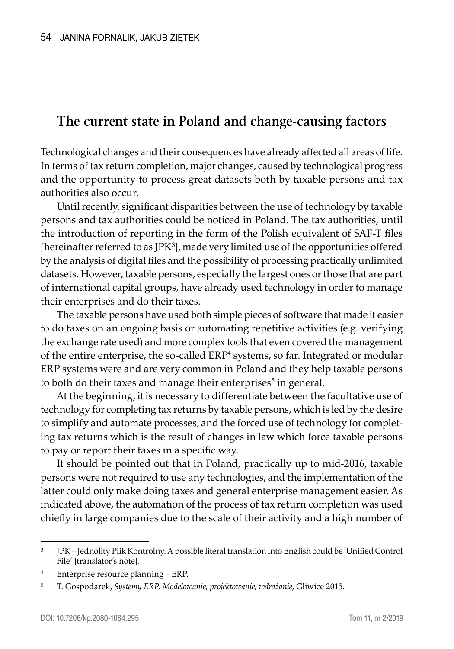# **The current state in Poland and change-causing factors**

Technological changes and their consequences have already affected all areas of life. In terms of tax return completion, major changes, caused by technological progress and the opportunity to process great datasets both by taxable persons and tax authorities also occur.

Until recently, significant disparities between the use of technology by taxable persons and tax authorities could be noticed in Poland. The tax authorities, until the introduction of reporting in the form of the Polish equivalent of SAF-T files [hereinafter referred to as JP $K^3$ ], made very limited use of the opportunities offered by the analysis of digital files and the possibility of processing practically unlimited datasets. However, taxable persons, especially the largest ones or those that are part of international capital groups, have already used technology in order to manage their enterprises and do their taxes.

The taxable persons have used both simple pieces of software that made it easier to do taxes on an ongoing basis or automating repetitive activities (e.g. verifying the exchange rate used) and more complex tools that even covered the management of the entire enterprise, the so-called  $ERP<sup>4</sup>$  systems, so far. Integrated or modular ERP systems were and are very common in Poland and they help taxable persons to both do their taxes and manage their enterprises<sup>5</sup> in general.

At the beginning, it is necessary to differentiate between the facultative use of technology for completing tax returns by taxable persons, which is led by the desire to simplify and automate processes, and the forced use of technology for completing tax returns which is the result of changes in law which force taxable persons to pay or report their taxes in a specific way.

It should be pointed out that in Poland, practically up to mid-2016, taxable persons were not required to use any technologies, and the implementation of the latter could only make doing taxes and general enterprise management easier. As indicated above, the automation of the process of tax return completion was used chiefly in large companies due to the scale of their activity and a high number of

<sup>3</sup> JPK – Jednolity Plik Kontrolny. A possible literal translation into English could be 'Unified Control File' [translator's note].

<sup>4</sup> Enterprise resource planning – ERP.

<sup>5</sup> T. Gospodarek, *Systemy ERP. Modelowanie, projektowanie, wdrażanie*, Gliwice 2015.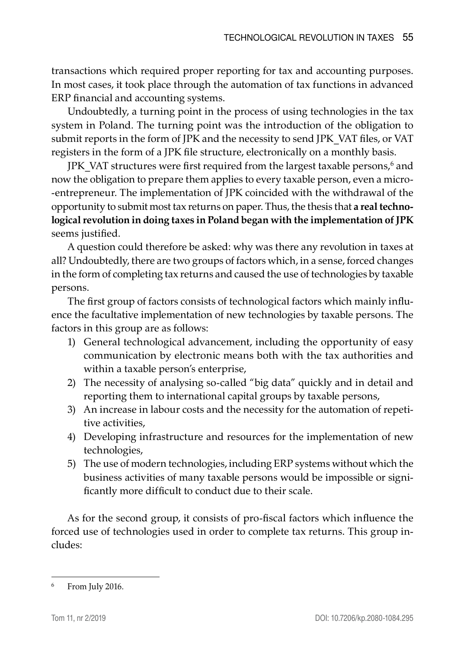transactions which required proper reporting for tax and accounting purposes. In most cases, it took place through the automation of tax functions in advanced ERP financial and accounting systems.

Undoubtedly, a turning point in the process of using technologies in the tax system in Poland. The turning point was the introduction of the obligation to submit reports in the form of JPK and the necessity to send JPK\_VAT files, or VAT registers in the form of a JPK file structure, electronically on a monthly basis.

JPK\_VAT structures were first required from the largest taxable persons,<sup>6</sup> and now the obligation to prepare them applies to every taxable person, even a microentrepreneur. The implementation of JPK coincided with the withdrawal of the opportunity to submit most tax returns on paper. Thus, the thesis that **a real technological revolution in doing taxes in Poland began with the implementation of JPK** seems justified.

A question could therefore be asked: why was there any revolution in taxes at all? Undoubtedly, there are two groups of factors which, in a sense, forced changes in the form of completing tax returns and caused the use of technologies by taxable persons.

The first group of factors consists of technological factors which mainly influence the facultative implementation of new technologies by taxable persons. The factors in this group are as follows:

- 1) General technological advancement, including the opportunity of easy communication by electronic means both with the tax authorities and within a taxable person's enterprise,
- 2) The necessity of analysing so-called "big data" quickly and in detail and reporting them to international capital groups by taxable persons,
- 3) An increase in labour costs and the necessity for the automation of repetitive activities,
- 4) Developing infrastructure and resources for the implementation of new technologies,
- 5) The use of modern technologies, including ERP systems without which the business activities of many taxable persons would be impossible or significantly more difficult to conduct due to their scale.

As for the second group, it consists of pro-fiscal factors which influence the forced use of technologies used in order to complete tax returns. This group includes:

From July 2016.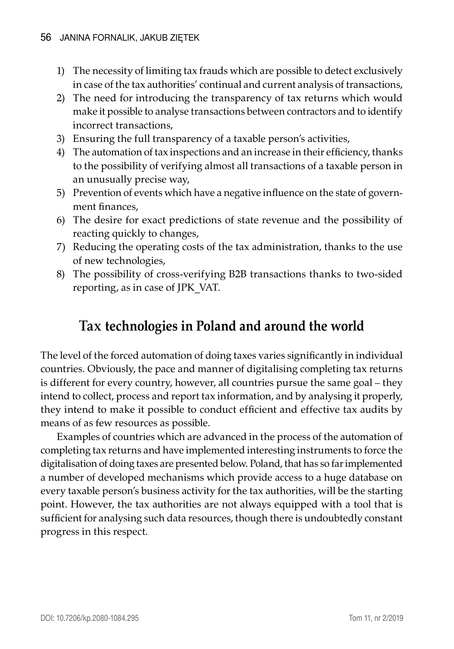- 1) The necessity of limiting tax frauds which are possible to detect exclusively in case of the tax authorities' continual and current analysis of transactions,
- 2) The need for introducing the transparency of tax returns which would make it possible to analyse transactions between contractors and to identify incorrect transactions,
- 3) Ensuring the full transparency of a taxable person's activities,
- 4) The automation of tax inspections and an increase in their efficiency, thanks to the possibility of verifying almost all transactions of a taxable person in an unusually precise way,
- 5) Prevention of events which have a negative influence on the state of government finances,
- 6) The desire for exact predictions of state revenue and the possibility of reacting quickly to changes,
- 7) Reducing the operating costs of the tax administration, thanks to the use of new technologies,
- 8) The possibility of cross-verifying B2B transactions thanks to two-sided reporting, as in case of JPK\_VAT.

# **Tax technologies in Poland and around the world**

The level of the forced automation of doing taxes varies significantly in individual countries. Obviously, the pace and manner of digitalising completing tax returns is different for every country, however, all countries pursue the same goal – they intend to collect, process and report tax information, and by analysing it properly, they intend to make it possible to conduct efficient and effective tax audits by means of as few resources as possible.

Examples of countries which are advanced in the process of the automation of completing tax returns and have implemented interesting instruments to force the digitalisation of doing taxes are presented below. Poland, that has so far implemented a number of developed mechanisms which provide access to a huge database on every taxable person's business activity for the tax authorities, will be the starting point. However, the tax authorities are not always equipped with a tool that is sufficient for analysing such data resources, though there is undoubtedly constant progress in this respect.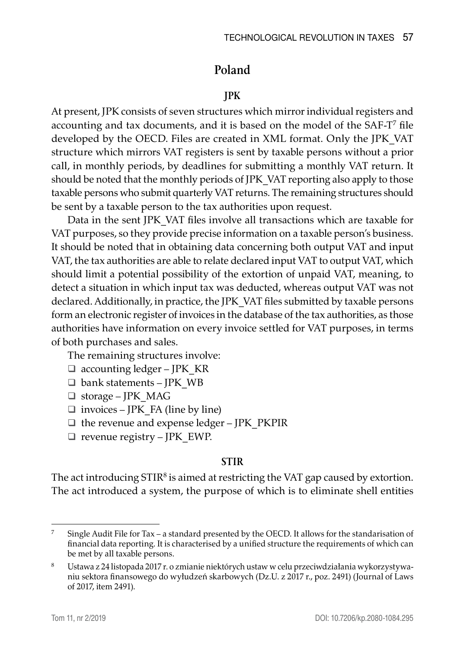# **Poland**

## **JPK**

At present, JPK consists of seven structures which mirror individual registers and accounting and tax documents, and it is based on the model of the SAF-T<sup>7</sup> file developed by the OECD. Files are created in XML format. Only the JPK\_VAT structure which mirrors VAT registers is sent by taxable persons without a prior call, in monthly periods, by deadlines for submitting a monthly VAT return. It should be noted that the monthly periods of JPK\_VAT reporting also apply to those taxable persons who submit quarterly VAT returns. The remaining structures should be sent by a taxable person to the tax authorities upon request.

Data in the sent JPK\_VAT files involve all transactions which are taxable for VAT purposes, so they provide precise information on a taxable person's business. It should be noted that in obtaining data concerning both output VAT and input VAT, the tax authorities are able to relate declared input VAT to output VAT, which should limit a potential possibility of the extortion of unpaid VAT, meaning, to detect a situation in which input tax was deducted, whereas output VAT was not declared. Additionally, in practice, the JPK\_VAT files submitted by taxable persons form an electronic register of invoices in the database of the tax authorities, as those authorities have information on every invoice settled for VAT purposes, in terms of both purchases and sales.

The remaining structures involve:

- $\Box$  accounting ledger JPK KR
- $\Box$  bank statements JPK WB
- storage JPK\_MAG
- $\Box$  invoices JPK FA (line by line)
- $\Box$  the revenue and expense ledger JPK\_PKPIR
- $\Box$  revenue registry JPK EWP.

#### **STIR**

The act introducing  $STIR<sup>8</sup>$  is aimed at restricting the VAT gap caused by extortion. The act introduced a system, the purpose of which is to eliminate shell entities

<sup>&</sup>lt;sup>7</sup> Single Audit File for Tax – a standard presented by the OECD. It allows for the standarisation of financial data reporting. It is characterised by a unified structure the requirements of which can be met by all taxable persons.

<sup>8</sup> Ustawa z 24 listopada 2017 r. o zmianie niektórych ustaw w celu przeciwdziałania wykorzystywaniu sektora finansowego do wyłudzeń skarbowych (Dz.U. z 2017 r., poz. 2491) (Journal of Laws of 2017, item 2491).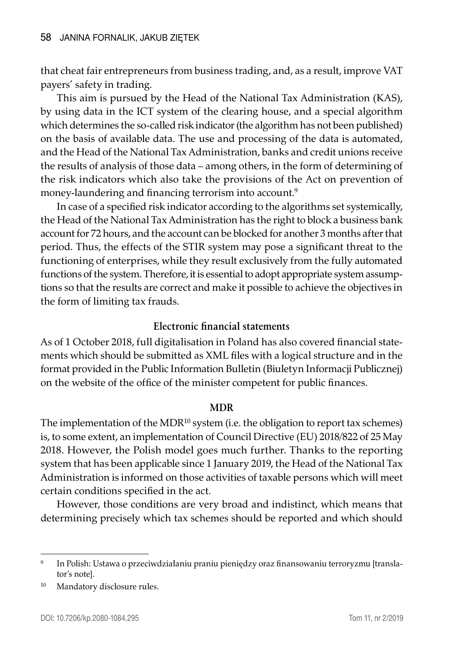that cheat fair entrepreneurs from business trading, and, as a result, improve VAT payers' safety in trading.

This aim is pursued by the Head of the National Tax Administration (KAS), by using data in the ICT system of the clearing house, and a special algorithm which determines the so-called risk indicator (the algorithm has not been published) on the basis of available data. The use and processing of the data is automated, and the Head of the National Tax Administration, banks and credit unions receive the results of analysis of those data – among others, in the form of determining of the risk indicators which also take the provisions of the Act on prevention of money-laundering and financing terrorism into account.<sup>9</sup>

In case of a specified risk indicator according to the algorithms set systemically, the Head of the National Tax Administration has the right to block a business bank account for 72 hours, and the account can be blocked for another 3 months after that period. Thus, the effects of the STIR system may pose a significant threat to the functioning of enterprises, while they result exclusively from the fully automated functions of the system. Therefore, it is essential to adopt appropriate system assumptions so that the results are correct and make it possible to achieve the objectives in the form of limiting tax frauds.

#### **Electronic financial statements**

As of 1 October 2018, full digitalisation in Poland has also covered financial statements which should be submitted as XML files with a logical structure and in the format provided in the Public Information Bulletin (Biuletyn Informacji Publicznej) on the website of the office of the minister competent for public finances.

#### **MDR**

The implementation of the MDR<sup>10</sup> system (i.e. the obligation to report tax schemes) is, to some extent, an implementation of Council Directive (EU) 2018/822 of 25 May 2018. However, the Polish model goes much further. Thanks to the reporting system that has been applicable since 1 January 2019, the Head of the National Tax Administration is informed on those activities of taxable persons which will meet certain conditions specified in the act.

However, those conditions are very broad and indistinct, which means that determining precisely which tax schemes should be reported and which should

<sup>9</sup> In Polish: Ustawa o przeciwdziałaniu praniu pieniędzy oraz finansowaniu terroryzmu [translator's note].

<sup>10</sup> Mandatory disclosure rules.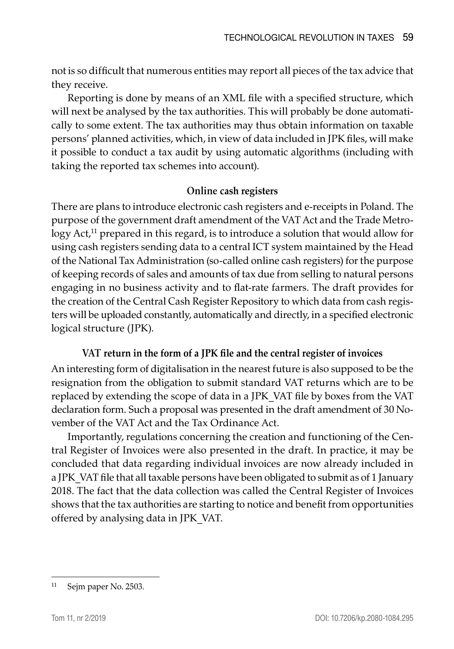not is so difficult that numerous entities may report all pieces of the tax advice that they receive.

Reporting is done by means of an XML file with a specified structure, which will next be analysed by the tax authorities. This will probably be done automatically to some extent. The tax authorities may thus obtain information on taxable persons' planned activities, which, in view of data included in JPK files, will make it possible to conduct a tax audit by using automatic algorithms (including with taking the reported tax schemes into account).

#### **Online cash registers**

There are plans to introduce electronic cash registers and e-receipts in Poland. The purpose of the government draft amendment of the VAT Act and the Trade Metrology Act,<sup>11</sup> prepared in this regard, is to introduce a solution that would allow for using cash registers sending data to a central ICT system maintained by the Head of the National Tax Administration (so-called online cash registers) for the purpose of keeping records of sales and amounts of tax due from selling to natural persons engaging in no business activity and to flat-rate farmers. The draft provides for the creation of the Central Cash Register Repository to which data from cash registers will be uploaded constantly, automatically and directly, in a specified electronic logical structure (JPK).

## **VAT return in the form of a JPK file and the central register of invoices**

An interesting form of digitalisation in the nearest future is also supposed to be the resignation from the obligation to submit standard VAT returns which are to be replaced by extending the scope of data in a JPK\_VAT file by boxes from the VAT declaration form. Such a proposal was presented in the draft amendment of 30 November of the VAT Act and the Tax Ordinance Act.

Importantly, regulations concerning the creation and functioning of the Central Register of Invoices were also presented in the draft. In practice, it may be concluded that data regarding individual invoices are now already included in a JPK\_VAT file that all taxable persons have been obligated to submit as of 1 January 2018. The fact that the data collection was called the Central Register of Invoices shows that the tax authorities are starting to notice and benefit from opportunities offered by analysing data in JPK\_VAT.

<sup>11</sup> Sejm paper No. 2503.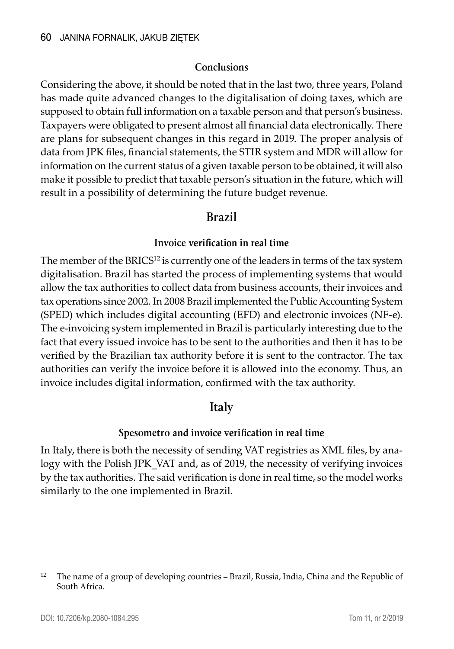#### **Conclusions**

Considering the above, it should be noted that in the last two, three years, Poland has made quite advanced changes to the digitalisation of doing taxes, which are supposed to obtain full information on a taxable person and that person's business. Taxpayers were obligated to present almost all financial data electronically. There are plans for subsequent changes in this regard in 2019. The proper analysis of data from JPK files, financial statements, the STIR system and MDR will allow for information on the current status of a given taxable person to be obtained, it will also make it possible to predict that taxable person's situation in the future, which will result in a possibility of determining the future budget revenue.

## **Brazil**

#### **Invoice verification in real time**

The member of the  $BRICS<sup>12</sup>$  is currently one of the leaders in terms of the tax system digitalisation. Brazil has started the process of implementing systems that would allow the tax authorities to collect data from business accounts, their invoices and tax operations since 2002. In 2008 Brazil implemented the Public Accounting System (SPED) which includes digital accounting (EFD) and electronic invoices (NF-e). The e-invoicing system implemented in Brazil is particularly interesting due to the fact that every issued invoice has to be sent to the authorities and then it has to be verified by the Brazilian tax authority before it is sent to the contractor. The tax authorities can verify the invoice before it is allowed into the economy. Thus, an invoice includes digital information, confirmed with the tax authority.

# **Italy**

## **Spesometro and invoice verification in real time**

In Italy, there is both the necessity of sending VAT registries as XML files, by analogy with the Polish JPK VAT and, as of 2019, the necessity of verifying invoices by the tax authorities. The said verification is done in real time, so the model works similarly to the one implemented in Brazil.

<sup>&</sup>lt;sup>12</sup> The name of a group of developing countries – Brazil, Russia, India, China and the Republic of South Africa.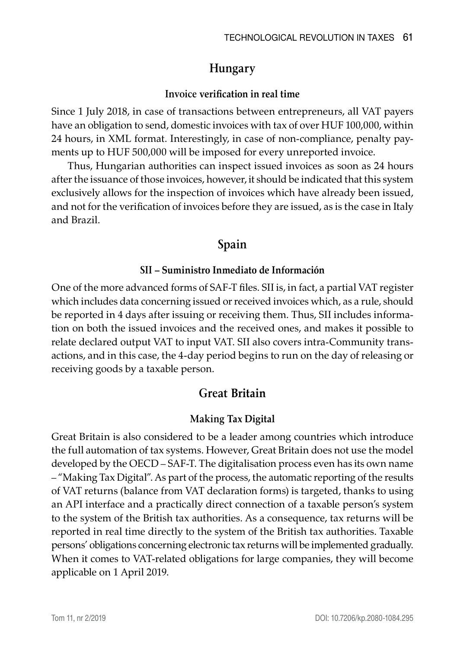# **Hungary**

#### **Invoice verification in real time**

Since 1 July 2018, in case of transactions between entrepreneurs, all VAT payers have an obligation to send, domestic invoices with tax of over HUF 100,000, within 24 hours, in XML format. Interestingly, in case of non-compliance, penalty payments up to HUF 500,000 will be imposed for every unreported invoice.

Thus, Hungarian authorities can inspect issued invoices as soon as 24 hours after the issuance of those invoices, however, it should be indicated that this system exclusively allows for the inspection of invoices which have already been issued, and not for the verification of invoices before they are issued, as is the case in Italy and Brazil.

## **Spain**

#### **SII – Suministro Inmediato de Información**

One of the more advanced forms of SAF-T files. SII is, in fact, a partial VAT register which includes data concerning issued or received invoices which, as a rule, should be reported in 4 days after issuing or receiving them. Thus, SII includes information on both the issued invoices and the received ones, and makes it possible to relate declared output VAT to input VAT. SII also covers intra-Community transactions, and in this case, the 4-day period begins to run on the day of releasing or receiving goods by a taxable person.

## **Great Britain**

#### **Making Tax Digital**

Great Britain is also considered to be a leader among countries which introduce the full automation of tax systems. However, Great Britain does not use the model developed by the OECD – SAF-T. The digitalisation process even has its own name – "Making Tax Digital". As part of the process, the automatic reporting of the results of VAT returns (balance from VAT declaration forms) is targeted, thanks to using an API interface and a practically direct connection of a taxable person's system to the system of the British tax authorities. As a consequence, tax returns will be reported in real time directly to the system of the British tax authorities. Taxable persons' obligations concerning electronic tax returns will be implemented gradually. When it comes to VAT-related obligations for large companies, they will become applicable on 1 April 2019.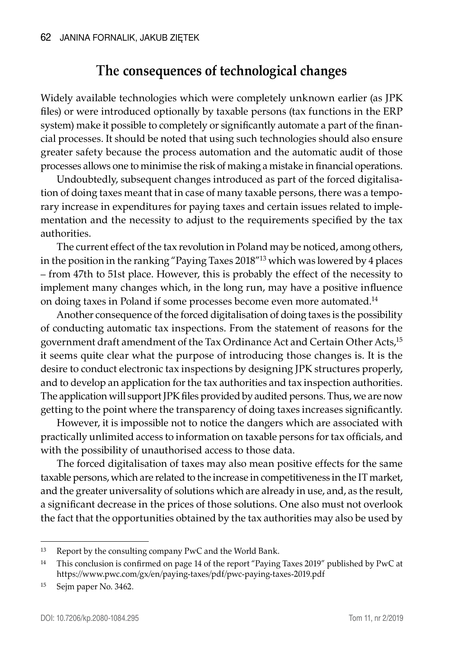# **The consequences of technological changes**

Widely available technologies which were completely unknown earlier (as JPK files) or were introduced optionally by taxable persons (tax functions in the ERP system) make it possible to completely or significantly automate a part of the financial processes. It should be noted that using such technologies should also ensure greater safety because the process automation and the automatic audit of those processes allows one to minimise the risk of making a mistake in financial operations.

Undoubtedly, subsequent changes introduced as part of the forced digitalisation of doing taxes meant that in case of many taxable persons, there was a temporary increase in expenditures for paying taxes and certain issues related to implementation and the necessity to adjust to the requirements specified by the tax authorities.

The current effect of the tax revolution in Poland may be noticed, among others, in the position in the ranking "Paying Taxes 2018"13 which was lowered by 4 places – from 47th to 51st place. However, this is probably the effect of the necessity to implement many changes which, in the long run, may have a positive influence on doing taxes in Poland if some processes become even more automated.14

Another consequence of the forced digitalisation of doing taxes is the possibility of conducting automatic tax inspections. From the statement of reasons for the government draft amendment of the Tax Ordinance Act and Certain Other Acts,<sup>15</sup> it seems quite clear what the purpose of introducing those changes is. It is the desire to conduct electronic tax inspections by designing JPK structures properly, and to develop an application for the tax authorities and tax inspection authorities. The application will support JPK files provided by audited persons. Thus, we are now getting to the point where the transparency of doing taxes increases significantly.

However, it is impossible not to notice the dangers which are associated with practically unlimited access to information on taxable persons for tax officials, and with the possibility of unauthorised access to those data.

The forced digitalisation of taxes may also mean positive effects for the same taxable persons, which are related to the increase in competitiveness in the IT market, and the greater universality of solutions which are already in use, and, as the result, a significant decrease in the prices of those solutions. One also must not overlook the fact that the opportunities obtained by the tax authorities may also be used by

<sup>13</sup> Report by the consulting company PwC and the World Bank.

<sup>&</sup>lt;sup>14</sup> This conclusion is confirmed on page 14 of the report "Paying Taxes 2019" published by PwC at https://www.pwc.com/gx/en/paying-taxes/pdf/pwc-paying-taxes-2019.pdf

<sup>15</sup> Sejm paper No. 3462.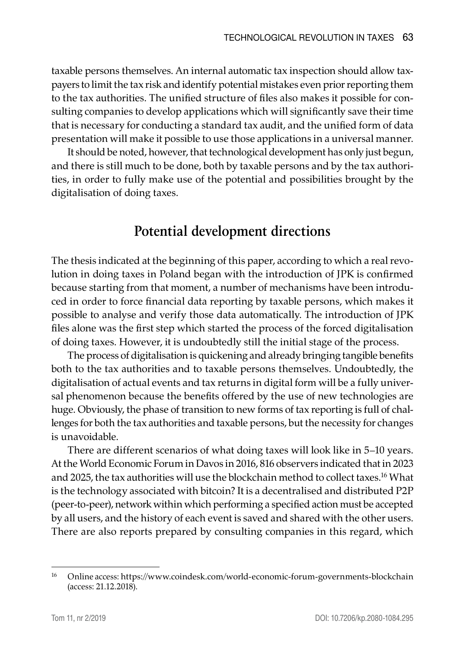taxable persons themselves. An internal automatic tax inspection should allow taxpayers to limit the tax risk and identify potential mistakes even prior reporting them to the tax authorities. The unified structure of files also makes it possible for consulting companies to develop applications which will significantly save their time that is necessary for conducting a standard tax audit, and the unified form of data presentation will make it possible to use those applications in a universal manner.

It should be noted, however, that technological development has only just begun, and there is still much to be done, both by taxable persons and by the tax authorities, in order to fully make use of the potential and possibilities brought by the digitalisation of doing taxes.

# **Potential development directions**

The thesis indicated at the beginning of this paper, according to which a real revolution in doing taxes in Poland began with the introduction of JPK is confirmed because starting from that moment, a number of mechanisms have been introduced in order to force financial data reporting by taxable persons, which makes it possible to analyse and verify those data automatically. The introduction of JPK files alone was the first step which started the process of the forced digitalisation of doing taxes. However, it is undoubtedly still the initial stage of the process.

The process of digitalisation is quickening and already bringing tangible benefits both to the tax authorities and to taxable persons themselves. Undoubtedly, the digitalisation of actual events and tax returns in digital form will be a fully universal phenomenon because the benefits offered by the use of new technologies are huge. Obviously, the phase of transition to new forms of tax reporting is full of challenges for both the tax authorities and taxable persons, but the necessity for changes is unavoidable.

There are different scenarios of what doing taxes will look like in 5–10 years. At the World Economic Forum in Davos in 2016, 816 observers indicated that in 2023 and 2025, the tax authorities will use the blockchain method to collect taxes.<sup>16</sup> What is the technology associated with bitcoin? It is a decentralised and distributed P2P (peer-to-peer), network within which performing a specified action must be accepted by all users, and the history of each event is saved and shared with the other users. There are also reports prepared by consulting companies in this regard, which

<sup>16</sup> Online access: https://www.coindesk.com/world-economic-forum-governments-blockchain (access: 21.12.2018).